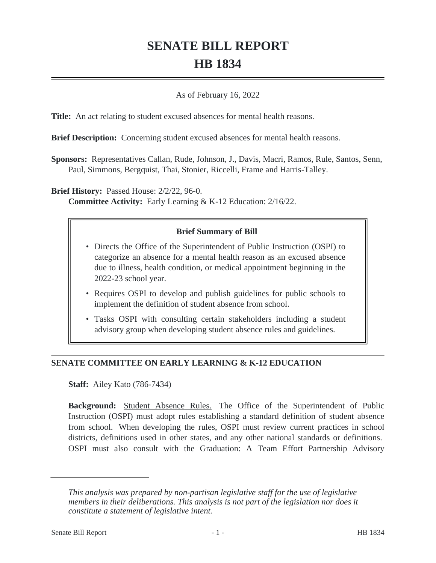# **SENATE BILL REPORT HB 1834**

### As of February 16, 2022

**Title:** An act relating to student excused absences for mental health reasons.

**Brief Description:** Concerning student excused absences for mental health reasons.

**Sponsors:** Representatives Callan, Rude, Johnson, J., Davis, Macri, Ramos, Rule, Santos, Senn, Paul, Simmons, Bergquist, Thai, Stonier, Riccelli, Frame and Harris-Talley.

**Brief History:** Passed House: 2/2/22, 96-0.

**Committee Activity:** Early Learning & K-12 Education: 2/16/22.

## **Brief Summary of Bill**

- Directs the Office of the Superintendent of Public Instruction (OSPI) to categorize an absence for a mental health reason as an excused absence due to illness, health condition, or medical appointment beginning in the 2022-23 school year.
- Requires OSPI to develop and publish guidelines for public schools to implement the definition of student absence from school.
- Tasks OSPI with consulting certain stakeholders including a student advisory group when developing student absence rules and guidelines.

## **SENATE COMMITTEE ON EARLY LEARNING & K-12 EDUCATION**

**Staff:** Ailey Kato (786-7434)

**Background:** Student Absence Rules. The Office of the Superintendent of Public Instruction (OSPI) must adopt rules establishing a standard definition of student absence from school. When developing the rules, OSPI must review current practices in school districts, definitions used in other states, and any other national standards or definitions. OSPI must also consult with the Graduation: A Team Effort Partnership Advisory

*This analysis was prepared by non-partisan legislative staff for the use of legislative members in their deliberations. This analysis is not part of the legislation nor does it constitute a statement of legislative intent.*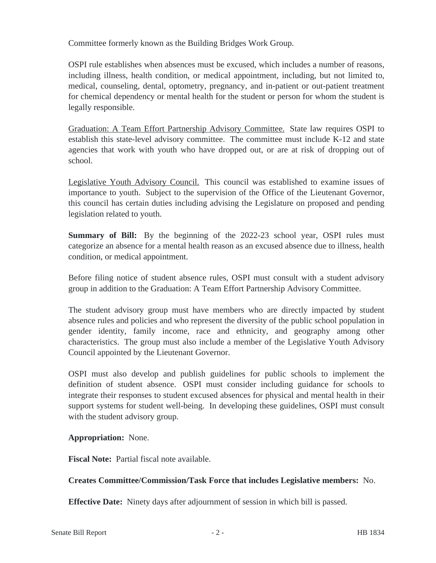Committee formerly known as the Building Bridges Work Group.

OSPI rule establishes when absences must be excused, which includes a number of reasons, including illness, health condition, or medical appointment, including, but not limited to, medical, counseling, dental, optometry, pregnancy, and in-patient or out-patient treatment for chemical dependency or mental health for the student or person for whom the student is legally responsible.

Graduation: A Team Effort Partnership Advisory Committee. State law requires OSPI to establish this state-level advisory committee. The committee must include K-12 and state agencies that work with youth who have dropped out, or are at risk of dropping out of school.

Legislative Youth Advisory Council. This council was established to examine issues of importance to youth. Subject to the supervision of the Office of the Lieutenant Governor, this council has certain duties including advising the Legislature on proposed and pending legislation related to youth.

**Summary of Bill:** By the beginning of the 2022-23 school year, OSPI rules must categorize an absence for a mental health reason as an excused absence due to illness, health condition, or medical appointment.

Before filing notice of student absence rules, OSPI must consult with a student advisory group in addition to the Graduation: A Team Effort Partnership Advisory Committee.

The student advisory group must have members who are directly impacted by student absence rules and policies and who represent the diversity of the public school population in gender identity, family income, race and ethnicity, and geography among other characteristics. The group must also include a member of the Legislative Youth Advisory Council appointed by the Lieutenant Governor.

OSPI must also develop and publish guidelines for public schools to implement the definition of student absence. OSPI must consider including guidance for schools to integrate their responses to student excused absences for physical and mental health in their support systems for student well-being. In developing these guidelines, OSPI must consult with the student advisory group.

## **Appropriation:** None.

**Fiscal Note:** Partial fiscal note available.

## **Creates Committee/Commission/Task Force that includes Legislative members:** No.

**Effective Date:** Ninety days after adjournment of session in which bill is passed.